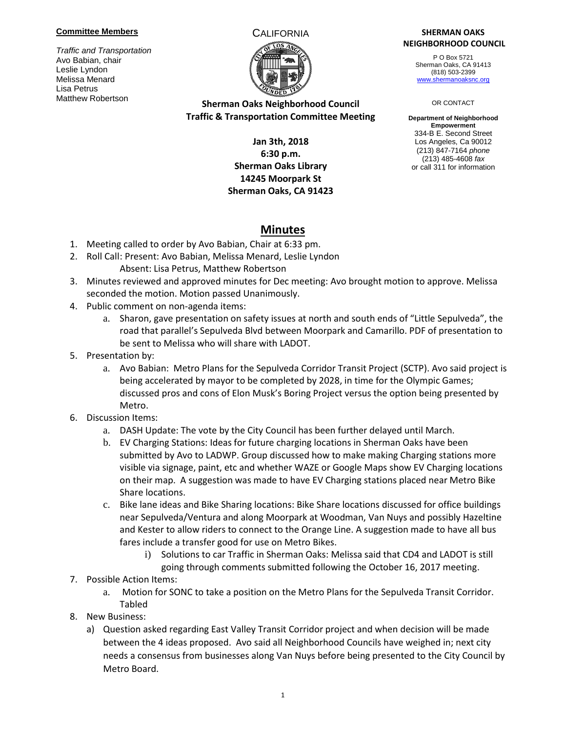### **Committee Members**

*Traffic and Transportation* Avo Babian, chair Leslie Lyndon Melissa Menard Lisa Petrus Matthew Robertson



## **Sherman Oaks Neighborhood Council Traffic & Transportation Committee Meeting**

## **Jan 3th, 2018 6:30 p.m. Sherman Oaks Library 14245 Moorpark St Sherman Oaks, CA 91423**

### CALIFORNIA **SHERMAN OAKS NEIGHBORHOOD COUNCIL**

P O Box 5721 Sherman Oaks, CA 91413 (818) 503-2399 [www.shermanoaksnc.org](http://www.shermanoaksnc.org/)

#### OR CONTACT

**Department of Neighborhood Empowerment** 334-B E. Second Street Los Angeles, Ca 90012 (213) 847-7164 *phone* (213) 485-4608 *fax* or call 311 for information

# **Minutes**

- 1. Meeting called to order by Avo Babian, Chair at 6:33 pm.
- 2. Roll Call: Present: Avo Babian, Melissa Menard, Leslie Lyndon Absent: Lisa Petrus, Matthew Robertson
- 3. Minutes reviewed and approved minutes for Dec meeting: Avo brought motion to approve. Melissa seconded the motion. Motion passed Unanimously.
- 4. Public comment on non-agenda items:
	- a. Sharon, gave presentation on safety issues at north and south ends of "Little Sepulveda", the road that parallel's Sepulveda Blvd between Moorpark and Camarillo. PDF of presentation to be sent to Melissa who will share with LADOT.
- 5. Presentation by:
	- a. Avo Babian: Metro Plans for the Sepulveda Corridor Transit Project (SCTP). Avo said project is being accelerated by mayor to be completed by 2028, in time for the Olympic Games; discussed pros and cons of Elon Musk's Boring Project versus the option being presented by Metro.
- 6. Discussion Items:
	- a. DASH Update: The vote by the City Council has been further delayed until March.
	- b. EV Charging Stations: Ideas for future charging locations in Sherman Oaks have been submitted by Avo to LADWP. Group discussed how to make making Charging stations more visible via signage, paint, etc and whether WAZE or Google Maps show EV Charging locations on their map. A suggestion was made to have EV Charging stations placed near Metro Bike Share locations.
	- c. Bike lane ideas and Bike Sharing locations: Bike Share locations discussed for office buildings near Sepulveda/Ventura and along Moorpark at Woodman, Van Nuys and possibly Hazeltine and Kester to allow riders to connect to the Orange Line. A suggestion made to have all bus fares include a transfer good for use on Metro Bikes.
		- i) Solutions to car Traffic in Sherman Oaks: Melissa said that CD4 and LADOT is still going through comments submitted following the October 16, 2017 meeting.
- 7. Possible Action Items:
	- a. Motion for SONC to take a position on the Metro Plans for the Sepulveda Transit Corridor. Tabled
- 8. New Business:
	- a) Question asked regarding East Valley Transit Corridor project and when decision will be made between the 4 ideas proposed. Avo said all Neighborhood Councils have weighed in; next city needs a consensus from businesses along Van Nuys before being presented to the City Council by Metro Board.